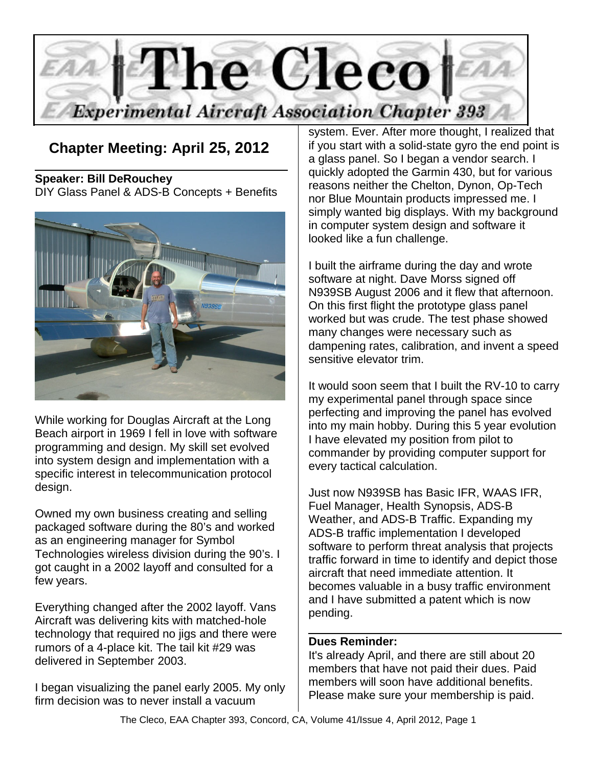

**Chapter Meeting: April 25, 2012** 

**Speaker: Bill DeRouchey** DIY Glass Panel & ADS-B Concepts + Benefits



While working for Douglas Aircraft at the Long Beach airport in 1969 I fell in love with software programming and design. My skill set evolved into system design and implementation with a specific interest in telecommunication protocol design.

Owned my own business creating and selling packaged software during the 80's and worked as an engineering manager for Symbol Technologies wireless division during the 90's. I got caught in a 2002 layoff and consulted for a few years.

Everything changed after the 2002 layoff. Vans Aircraft was delivering kits with matched-hole technology that required no jigs and there were rumors of a 4-place kit. The tail kit #29 was delivered in September 2003.

I began visualizing the panel early 2005. My only firm decision was to never install a vacuum

system. Ever. After more thought, I realized that if you start with a solid-state gyro the end point is a glass panel. So I began a vendor search. I quickly adopted the Garmin 430, but for various reasons neither the Chelton, Dynon, Op-Tech nor Blue Mountain products impressed me. I simply wanted big displays. With my background in computer system design and software it looked like a fun challenge.

I built the airframe during the day and wrote software at night. Dave Morss signed off N939SB August 2006 and it flew that afternoon. On this first flight the prototype glass panel worked but was crude. The test phase showed many changes were necessary such as dampening rates, calibration, and invent a speed sensitive elevator trim.

It would soon seem that I built the RV-10 to carry my experimental panel through space since perfecting and improving the panel has evolved into my main hobby. During this 5 year evolution I have elevated my position from pilot to commander by providing computer support for every tactical calculation.

Just now N939SB has Basic IFR, WAAS IFR, Fuel Manager, Health Synopsis, ADS-B Weather, and ADS-B Traffic. Expanding my ADS-B traffic implementation I developed software to perform threat analysis that projects traffic forward in time to identify and depict those aircraft that need immediate attention. It becomes valuable in a busy traffic environment and I have submitted a patent which is now pending.

#### **Dues Reminder:**

It's already April, and there are still about 20 members that have not paid their dues. Paid members will soon have additional benefits. Please make sure your membership is paid.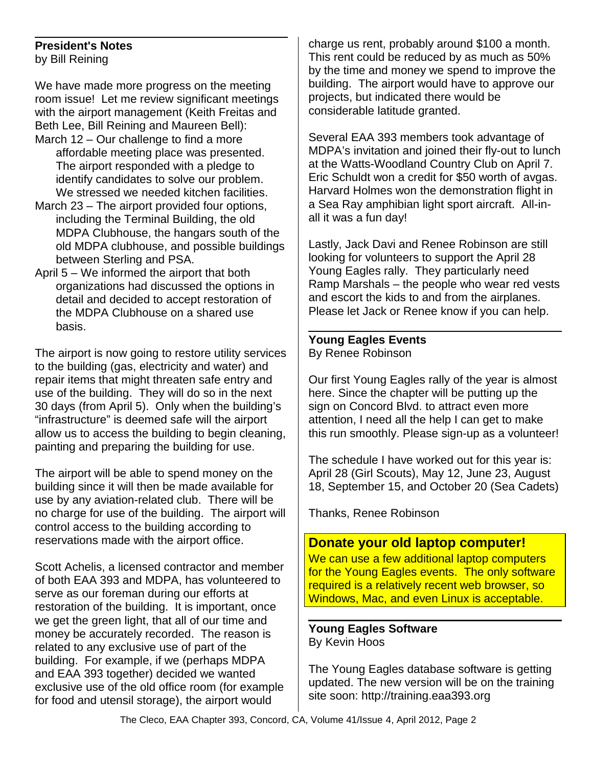### **President's Notes**

by Bill Reining

We have made more progress on the meeting room issue! Let me review significant meetings with the airport management (Keith Freitas and Beth Lee, Bill Reining and Maureen Bell): March 12 – Our challenge to find a more

- affordable meeting place was presented. The airport responded with a pledge to identify candidates to solve our problem. We stressed we needed kitchen facilities.
- March 23 The airport provided four options, including the Terminal Building, the old MDPA Clubhouse, the hangars south of the old MDPA clubhouse, and possible buildings between Sterling and PSA.
- April 5 We informed the airport that both organizations had discussed the options in detail and decided to accept restoration of the MDPA Clubhouse on a shared use basis.

The airport is now going to restore utility services to the building (gas, electricity and water) and repair items that might threaten safe entry and use of the building. They will do so in the next 30 days (from April 5). Only when the building's "infrastructure" is deemed safe will the airport allow us to access the building to begin cleaning, painting and preparing the building for use.

The airport will be able to spend money on the building since it will then be made available for use by any aviation-related club. There will be no charge for use of the building. The airport will control access to the building according to reservations made with the airport office.

Scott Achelis, a licensed contractor and member of both EAA 393 and MDPA, has volunteered to serve as our foreman during our efforts at restoration of the building. It is important, once we get the green light, that all of our time and money be accurately recorded. The reason is related to any exclusive use of part of the building. For example, if we (perhaps MDPA and EAA 393 together) decided we wanted exclusive use of the old office room (for example for food and utensil storage), the airport would

charge us rent, probably around \$100 a month. This rent could be reduced by as much as 50% by the time and money we spend to improve the building. The airport would have to approve our projects, but indicated there would be considerable latitude granted.

Several EAA 393 members took advantage of MDPA's invitation and joined their fly-out to lunch at the Watts-Woodland Country Club on April 7. Eric Schuldt won a credit for \$50 worth of avgas. Harvard Holmes won the demonstration flight in a Sea Ray amphibian light sport aircraft. All-inall it was a fun day!

Lastly, Jack Davi and Renee Robinson are still looking for volunteers to support the April 28 Young Eagles rally. They particularly need Ramp Marshals – the people who wear red vests and escort the kids to and from the airplanes. Please let Jack or Renee know if you can help.

#### **Young Eagles Events** By Renee Robinson

Our first Young Eagles rally of the year is almost here. Since the chapter will be putting up the sign on Concord Blvd. to attract even more attention, I need all the help I can get to make this run smoothly. Please sign-up as a volunteer!

The schedule I have worked out for this year is: April 28 (Girl Scouts), May 12, June 23, August 18, September 15, and October 20 (Sea Cadets)

Thanks, Renee Robinson

### **Donate your old laptop computer!**

We can use a few additional laptop computers for the Young Eagles events. The only software required is a relatively recent web browser, so Windows, Mac, and even Linux is acceptable.

#### **Young Eagles Software** By Kevin Hoos

The Young Eagles database software is getting updated. The new version will be on the training site soon: http://training.eaa393.org

The Cleco, EAA Chapter 393, Concord, CA, Volume 41/Issue 4, April 2012, Page 2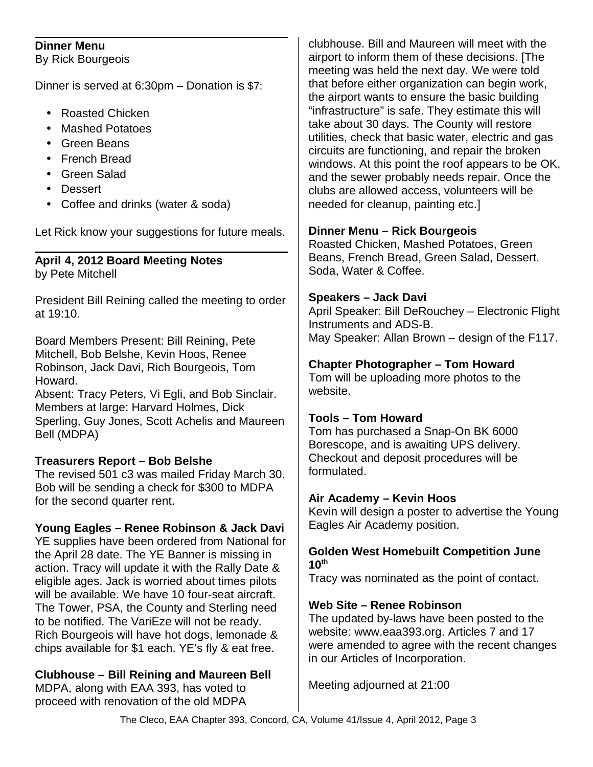#### **Dinner Menu**

By Rick Bourgeois

Dinner is served at 6:30pm – Donation is \$7:

- Roasted Chicken
- Mashed Potatoes
- Green Beans
- French Bread
- Green Salad
- Dessert
- Coffee and drinks (water & soda)

Let Rick know your suggestions for future meals.

# **April 4, 2012 Board Meeting Notes**

by Pete Mitchell

President Bill Reining called the meeting to order at 19:10.

Board Members Present: Bill Reining, Pete Mitchell, Bob Belshe, Kevin Hoos, Renee Robinson, Jack Davi, Rich Bourgeois, Tom Howard.

Absent: Tracy Peters, Vi Egli, and Bob Sinclair. Members at large: Harvard Holmes, Dick Sperling, Guy Jones, Scott Achelis and Maureen Bell (MDPA)

# **Treasurers Report – Bob Belshe**

The revised 501 c3 was mailed Friday March 30. Bob will be sending a check for \$300 to MDPA for the second quarter rent.

# **Young Eagles – Renee Robinson & Jack Davi**

YE supplies have been ordered from National for the April 28 date. The YE Banner is missing in action. Tracy will update it with the Rally Date & eligible ages. Jack is worried about times pilots will be available. We have 10 four-seat aircraft. The Tower, PSA, the County and Sterling need to be notified. The VariEze will not be ready. Rich Bourgeois will have hot dogs, lemonade & chips available for \$1 each. YE's fly & eat free.

**Clubhouse – Bill Reining and Maureen Bell**

MDPA, along with EAA 393, has voted to proceed with renovation of the old MDPA clubhouse. Bill and Maureen will meet with the airport to inform them of these decisions. [The meeting was held the next day. We were told that before either organization can begin work, the airport wants to ensure the basic building "infrastructure" is safe. They estimate this will take about 30 days. The County will restore utilities, check that basic water, electric and gas circuits are functioning, and repair the broken windows. At this point the roof appears to be OK, and the sewer probably needs repair. Once the clubs are allowed access, volunteers will be needed for cleanup, painting etc.]

### **Dinner Menu – Rick Bourgeois**

Roasted Chicken, Mashed Potatoes, Green Beans, French Bread, Green Salad, Dessert. Soda, Water & Coffee.

### **Speakers – Jack Davi**

April Speaker: Bill DeRouchey – Electronic Flight Instruments and ADS-B. May Speaker: Allan Brown – design of the F117.

# **Chapter Photographer – Tom Howard**

Tom will be uploading more photos to the website.

# **Tools – Tom Howard**

Tom has purchased a Snap-On BK 6000 Borescope, and is awaiting UPS delivery. Checkout and deposit procedures will be formulated.

### **Air Academy – Kevin Hoos**

Kevin will design a poster to advertise the Young Eagles Air Academy position.

#### **Golden West Homebuilt Competition June 10th**

Tracy was nominated as the point of contact.

# **Web Site – Renee Robinson**

The updated by-laws have been posted to the website: www.eaa393.org. Articles 7 and 17 were amended to agree with the recent changes in our Articles of Incorporation.

Meeting adjourned at 21:00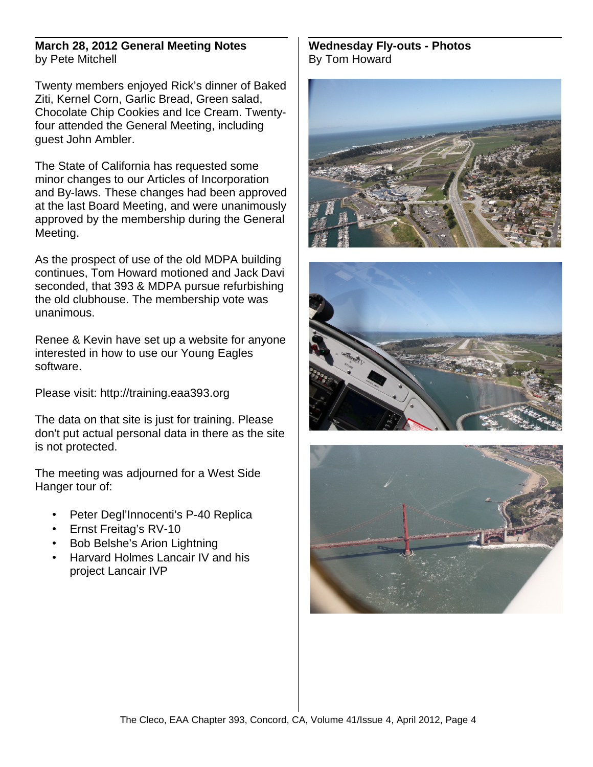#### **March 28, 2012 General Meeting Notes** by Pete Mitchell

Twenty members enjoyed Rick's dinner of Baked Ziti, Kernel Corn, Garlic Bread, Green salad, Chocolate Chip Cookies and Ice Cream. Twentyfour attended the General Meeting, including guest John Ambler.

The State of California has requested some minor changes to our Articles of Incorporation and By-laws. These changes had been approved at the last Board Meeting, and were unanimously approved by the membership during the General Meeting.

As the prospect of use of the old MDPA building continues, Tom Howard motioned and Jack Davi seconded, that 393 & MDPA pursue refurbishing the old clubhouse. The membership vote was unanimous.

Renee & Kevin have set up a website for anyone interested in how to use our Young Eagles software.

Please visit: http://training.eaa393.org

The data on that site is just for training. Please don't put actual personal data in there as the site is not protected.

The meeting was adjourned for a West Side Hanger tour of:

- Peter Degl'Innocenti's P-40 Replica
- Ernst Freitag's RV-10
- Bob Belshe's Arion Lightning
- Harvard Holmes Lancair IV and his project Lancair IVP

#### **Wednesday Fly-outs - Photos** By Tom Howard





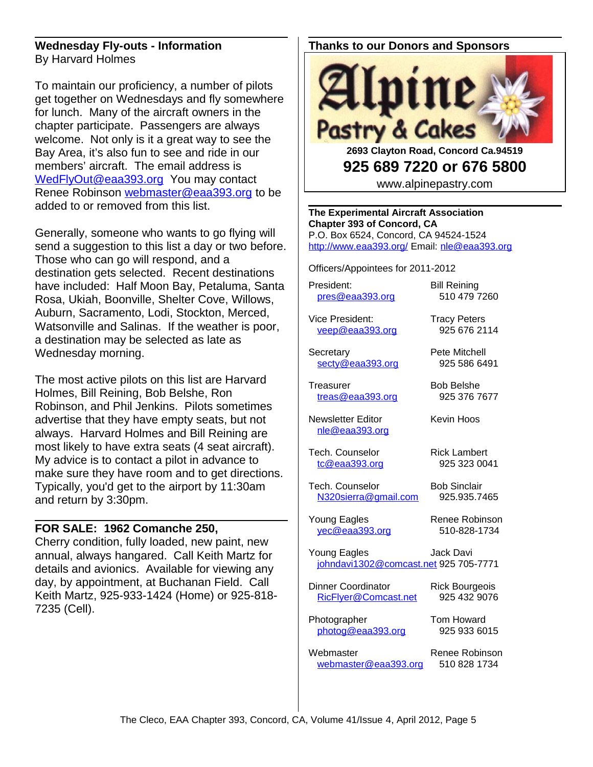#### **Wednesday Fly-outs - Information** By Harvard Holmes

To maintain our proficiency, a number of pilots get together on Wednesdays and fly somewhere for lunch. Many of the aircraft owners in the chapter participate. Passengers are always welcome. Not only is it a great way to see the Bay Area, it's also fun to see and ride in our members' aircraft. The email address is [WedFlyOut@eaa393.org](mailto:WedFlyOut@eaa393.org) You may contact Renee Robinson [webmaster@eaa393.org](mailto:webmaster@eaa393.org) to be added to or removed from this list.

Generally, someone who wants to go flying will send a suggestion to this list a day or two before. Those who can go will respond, and a destination gets selected. Recent destinations have included: Half Moon Bay, Petaluma, Santa Rosa, Ukiah, Boonville, Shelter Cove, Willows, Auburn, Sacramento, Lodi, Stockton, Merced, Watsonville and Salinas. If the weather is poor, a destination may be selected as late as Wednesday morning.

The most active pilots on this list are Harvard Holmes, Bill Reining, Bob Belshe, Ron Robinson, and Phil Jenkins. Pilots sometimes advertise that they have empty seats, but not always. Harvard Holmes and Bill Reining are most likely to have extra seats (4 seat aircraft). My advice is to contact a pilot in advance to make sure they have room and to get directions. Typically, you'd get to the airport by 11:30am and return by 3:30pm.

#### **FOR SALE: 1962 Comanche 250,**

Cherry condition, fully loaded, new paint, new annual, always hangared. Call Keith Martz for details and avionics. Available for viewing any day, by appointment, at Buchanan Field. Call Keith Martz, 925-933-1424 (Home) or 925-818- 7235 (Cell).

### **Thanks to our Donors and Sponsors**



**2693 Clayton Road, Concord Ca.94519 925 689 7220 or 676 5800**

www.alpinepastry.com

**The Experimental Aircraft Association Chapter 393 of Concord, CA** P.O. Box 6524, Concord, CA 94524-1524 <http://www.eaa393.org/>Email: [nle@eaa393.org](mailto:nle@eaa393.org)

Officers/Appointees for 2011-2012

President: Bill Reining [pres@eaa393.org](mailto:pres@eaa393.org) 510 479 7260

Vice President: Tracy Peters [veep@eaa393.org](mailto:veep@eaa393.org) 925 676 2114

Secretary **Pete Mitchell** [secty@eaa393.org](mailto:secty@eaa393.org) 925 586 6491

Treasurer Bob Belshe [treas@eaa393.org](mailto:treas@eaa393.org) 925 376 7677

Newsletter Editor **Kevin Hoos** 

Tech. Counselor **Rick Lambert** [tc@eaa393.org](mailto:tc@eaa393.org) 925 323 0041

Tech. Counselor Bob Sinclair [N320sierra@gmail.com](mailto:N320sierra@gmail.com) 925.935.7465

Young Eagles Renee Robinson [yec@eaa393.org](mailto:yec@eaa393.org) 510-828-1734

[nle@eaa393.org](mailto:nle@eaa393.org)

Young Eagles **Jack Davi** [johndavi1302@comcast.net](mailto:johndavi1302@comcast.net) 925 705-7771

Dinner Coordinator Rick Bourgeois [RicFlyer@Comcast.net](mailto:RicFlyer@Comcast.net) 925 432 9076

Photographer Tom Howard [photog@eaa393.org](mailto:photog@eaa393.org) 925 933 6015

Webmaster Renee Robinson [webmaster@eaa393.org](mailto:webmaster@eaa393.org) 510 828 1734